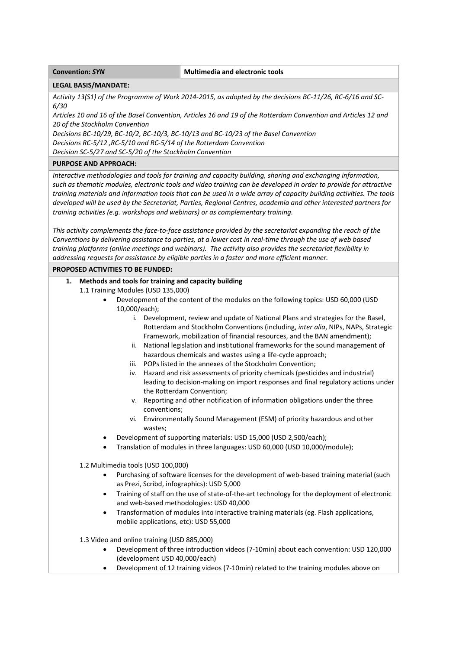#### **Convention:** *SYN* **Multimedia** and **electronic tools**

### **LEGAL BASIS/MANDATE:**

Activity 13(S1) of the Programme of Work 2014-2015, as adopted by the decisions BC-11/26, RC-6/16 and SC-*6/30*

Articles 10 and 16 of the Basel Convention, Articles 16 and 19 of the Rotterdam Convention and Articles 12 and *20 of the Stockholm Convention* 

Decisions BC-10/29, BC-10/2, BC-10/3, BC-10/13 and BC-10/23 of the Basel Convention

*Decisions RC‐5/12 ,RC‐5/10 and RC‐5/14 of the Rotterdam Convention*

*Decision SC‐5/27 and SC‐5/20 of the Stockholm Convention* 

## **PURPOSE AND APPROACH:**

*Interactive methodologies and tools for training and capacity building, sharing and exchanging information,* such as thematic modules, electronic tools and video training can be developed in order to provide for attractive training materials and information tools that can be used in a wide array of capacity building activities. The tools *developed will be used by the Secretariat, Parties, Regional Centres, academia and other interested partners for training activities (e.g. workshops and webinars) or as complementary training.*

This activity complements the face-to-face assistance provided by the secretariat expanding the reach of the Conventions by delivering assistance to parties, at a lower cost in real-time through the use of web based *training platforms (online meetings and webinars). The activity also provides the secretariat flexibility in addressing requests for assistance by eligible parties in a faster and more efficient manner.*

### **PROPOSED ACTIVITIES TO BE FUNDED:**

# **1. Methods and tools for training and capacity building**

- 1.1 Training Modules (USD 135,000)
	- Development of the content of the modules on the following topics: USD 60,000 (USD 10,000/each);
		- i. Development, review and update of National Plans and strategies for the Basel, Rotterdam and Stockholm Conventions (including, *inter alia*, NIPs, NAPs, Strategic Framework, mobilization of financial resources, and the BAN amendment);
		- ii. National legislation and institutional frameworks for the sound management of hazardous chemicals and wastes using a life-cycle approach;
		- iii. POPs listed in the annexes of the Stockholm Convention;
		- iv. Hazard and risk assessments of priority chemicals (pesticides and industrial) leading to decision‐making on import responses and final regulatory actions under the Rotterdam Convention;
		- v. Reporting and other notification of information obligations under the three conventions;
		- vi. Environmentally Sound Management (ESM) of priority hazardous and other wastes;
	- Development of supporting materials: USD 15,000 (USD 2,500/each);
	- Translation of modules in three languages: USD 60,000 (USD 10,000/module);

1.2 Multimedia tools (USD 100,000)

- Purchasing of software licenses for the development of web‐based training material (such as Prezi, Scribd, infographics): USD 5,000
- Training of staff on the use of state-of-the-art technology for the deployment of electronic and web‐based methodologies: USD 40,000
- Transformation of modules into interactive training materials (eg. Flash applications, mobile applications, etc): USD 55,000

1.3 Video and online training (USD 885,000)

- Development of three introduction videos (7‐10min) about each convention: USD 120,000 (development USD 40,000/each)
- Development of 12 training videos (7‐10min) related to the training modules above on